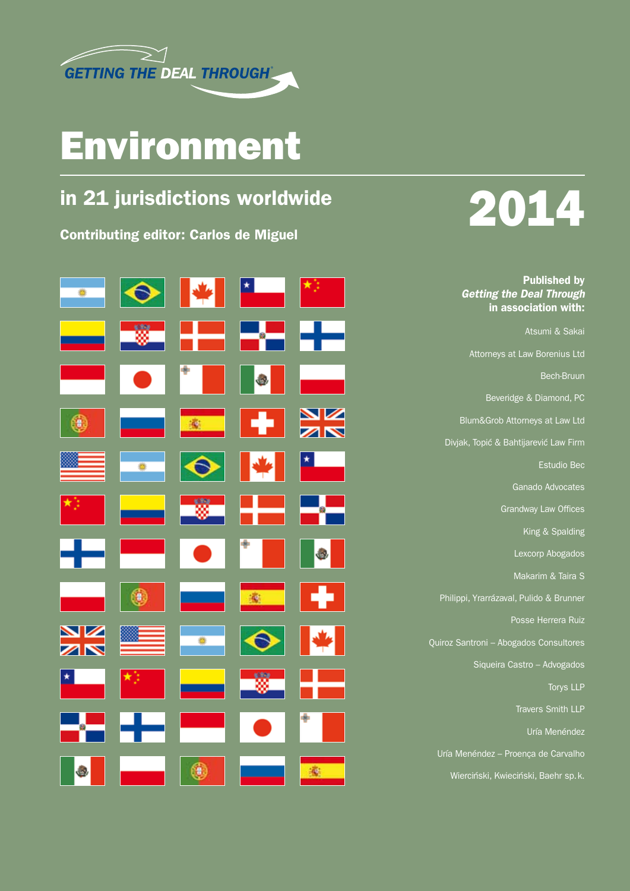

### Environment

### in 21 jurisdictions worldwide

Contributing editor: Carlos de Miguel



# 2014

Published by *Getting the Deal Through* in association with:

Atsumi & Sakai Attorneys at Law Borenius Ltd Bech-Bruun Beveridge & Diamond, PC Blum&Grob Attorneys at Law Ltd Divjak, Topić & Bahtijarević Law Firm Estudio Bec Ganado Advocates Grandway Law Offices King & Spalding Lexcorp Abogados Makarim & Taira S Philippi, Yrarrázaval, Pulido & Brunner Posse Herrera Ruiz Quiroz Santroni – Abogados Consultores Siqueira Castro – Advogados Torys LLP Travers Smith LLP Uría Menéndez Uría Menéndez – Proença de Carvalho

Wierciński, Kwieciński, Baehr sp.k.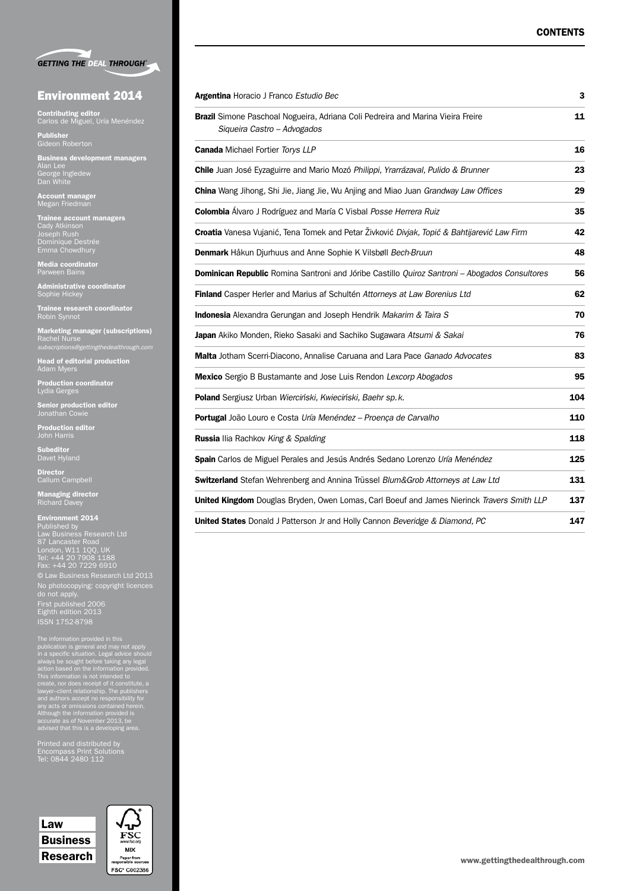|  | <b>GETTING THE DEAL THROUGH®</b> |
|--|----------------------------------|

#### Environment 2014

**Contributing editor**<br>Carlos de Miguel, Uría Menéndez

**Publisher**<br>Gideon Roberton

**Business development managers<br>Alan Lee<br>George Ingledew<br>Dan White** 

**Account manager**<br>Megan Friedman

**Trainee account managers**<br>Cady Atkinson<br>Joseph Rush<br>Dominique Destrée<br>Emma Chowdhury

Media coordinator Parween Bains

**Administrative coordinator**<br>Sophie Hickey

**Trainee research coordinator**<br>Robin Synnot

Marketing manager (subscriptions) Rachel Nurse *subscriptions@gettingthedealthrough.com*

**Head of editorial production**<br>Adam Myers

**Production coordinator**<br>Lydia Gerges

**Senior production editor**<br>Jonathan Cowie

**Production editor**<br>John Harris

**Subeditor**<br>Davet Hyland

Director<br>Callum Campbell

**Managing director**<br>Richard Davey

**Environment 2014**<br>Published by<br>Law Business Research Ltd<br>87 Lancaster Road<br>London, W11 1QQ, UK<br>Tel: +44 20 7229 6910<br>Fax: +44 20 7229 6910 © Law Business Research Ltd 2013 No photocopying: copyright licences do not apply. First published 2006 Eighth edition 2013 ISSN 1752-8798

The information provided in this<br>publication is general and may not apply<br>in a specific situation. Legal advice should<br>always be sought before taking any legal<br>action based on the information provided.<br>This information is

Printed and distributed by Encompass Print Solutions Tel: 0844 2480 112

Law Business Research



| Argentina Horacio J Franco Estudio Bec                                                                                | 3   |  |  |
|-----------------------------------------------------------------------------------------------------------------------|-----|--|--|
| <b>Brazil</b> Simone Paschoal Nogueira, Adriana Coli Pedreira and Marina Vieira Freire<br>Siqueira Castro - Advogados |     |  |  |
| Canada Michael Fortier Torys LLP                                                                                      | 16  |  |  |
| <b>Chile</b> Juan José Eyzaguirre and Mario Mozó Philippi, Yrarrázaval, Pulido & Brunner                              | 23  |  |  |
| <b>China</b> Wang Jihong, Shi Jie, Jiang Jie, Wu Anjing and Miao Juan Grandway Law Offices                            | 29  |  |  |
| Colombia Álvaro J Rodríguez and María C Visbal Posse Herrera Ruiz                                                     | 35  |  |  |
| Croatia Vanesa Vujanić, Tena Tomek and Petar Živković Divjak, Topić & Bahtijarević Law Firm                           | 42  |  |  |
| Denmark Håkun Djurhuus and Anne Sophie K Vilsbøll Bech-Bruun                                                          | 48  |  |  |
| Dominican Republic Romina Santroni and Jóribe Castillo Quiroz Santroni - Abogados Consultores                         | 56  |  |  |
| Finland Casper Herler and Marius af Schultén Attorneys at Law Borenius Ltd                                            | 62  |  |  |
| <b>Indonesia</b> Alexandra Gerungan and Joseph Hendrik Makarim & Taira S                                              | 70  |  |  |
| Japan Akiko Monden, Rieko Sasaki and Sachiko Sugawara Atsumi & Sakai                                                  | 76  |  |  |
| Malta Jotham Scerri-Diacono, Annalise Caruana and Lara Pace Ganado Advocates                                          | 83  |  |  |
| Mexico Sergio B Bustamante and Jose Luis Rendon Lexcorp Abogados                                                      | 95  |  |  |
| Poland Sergiusz Urban Wierciński, Kwieciński, Baehr sp. k.                                                            | 104 |  |  |
| Portugal João Louro e Costa Uría Menéndez - Proença de Carvalho                                                       | 110 |  |  |
| <b>Russia</b> Ilia Rachkov King & Spalding                                                                            | 118 |  |  |
| Spain Carlos de Miguel Perales and Jesús Andrés Sedano Lorenzo Uría Menéndez                                          | 125 |  |  |
| Switzerland Stefan Wehrenberg and Annina Trüssel Blum&Grob Attorneys at Law Ltd                                       | 131 |  |  |
| <b>United Kingdom</b> Douglas Bryden, Owen Lomas, Carl Boeuf and James Nierinck Travers Smith LLP                     | 137 |  |  |

United States Donald J Patterson Jr and Holly Cannon *Beveridge & Diamond, PC* 147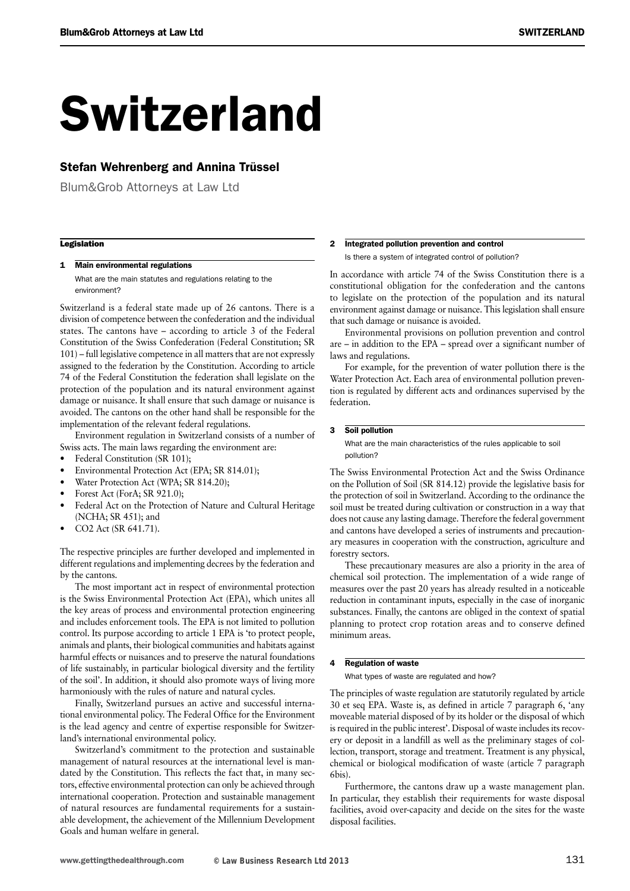## Switzerland

#### Stefan Wehrenberg and Annina Trüssel

Blum&Grob Attorneys at Law Ltd

#### **Legislation**

#### 1 Main environmental regulations

What are the main statutes and regulations relating to the environment?

Switzerland is a federal state made up of 26 cantons. There is a division of competence between the confederation and the individual states. The cantons have – according to article 3 of the Federal Constitution of the Swiss Confederation (Federal Constitution; SR 101) – full legislative competence in all matters that are not expressly assigned to the federation by the Constitution. According to article 74 of the Federal Constitution the federation shall legislate on the protection of the population and its natural environment against damage or nuisance. It shall ensure that such damage or nuisance is avoided. The cantons on the other hand shall be responsible for the implementation of the relevant federal regulations.

Environment regulation in Switzerland consists of a number of Swiss acts. The main laws regarding the environment are:

- Federal Constitution (SR 101);
- Environmental Protection Act (EPA; SR 814.01);
- Water Protection Act (WPA; SR 814.20);
- Forest Act (ForA: SR 921.0);
- Federal Act on the Protection of Nature and Cultural Heritage (NCHA; SR 451); and
- CO2 Act (SR 641.71).

The respective principles are further developed and implemented in different regulations and implementing decrees by the federation and by the cantons.

The most important act in respect of environmental protection is the Swiss Environmental Protection Act (EPA), which unites all the key areas of process and environmental protection engineering and includes enforcement tools. The EPA is not limited to pollution control. Its purpose according to article 1 EPA is 'to protect people, animals and plants, their biological communities and habitats against harmful effects or nuisances and to preserve the natural foundations of life sustainably, in particular biological diversity and the fertility of the soil'. In addition, it should also promote ways of living more harmoniously with the rules of nature and natural cycles.

Finally, Switzerland pursues an active and successful international environmental policy. The Federal Office for the Environment is the lead agency and centre of expertise responsible for Switzerland's international environmental policy.

Switzerland's commitment to the protection and sustainable management of natural resources at the international level is mandated by the Constitution. This reflects the fact that, in many sectors, effective environmental protection can only be achieved through international cooperation. Protection and sustainable management of natural resources are fundamental requirements for a sustainable development, the achievement of the Millennium Development Goals and human welfare in general.

#### 2 Integrated pollution prevention and control

Is there a system of integrated control of pollution?

In accordance with article 74 of the Swiss Constitution there is a constitutional obligation for the confederation and the cantons to legislate on the protection of the population and its natural environment against damage or nuisance. This legislation shall ensure that such damage or nuisance is avoided.

Environmental provisions on pollution prevention and control are – in addition to the EPA – spread over a significant number of laws and regulations.

For example, for the prevention of water pollution there is the Water Protection Act. Each area of environmental pollution prevention is regulated by different acts and ordinances supervised by the federation.

#### 3 Soil pollution

What are the main characteristics of the rules applicable to soil pollution?

The Swiss Environmental Protection Act and the Swiss Ordinance on the Pollution of Soil (SR 814.12) provide the legislative basis for the protection of soil in Switzerland. According to the ordinance the soil must be treated during cultivation or construction in a way that does not cause any lasting damage. Therefore the federal government and cantons have developed a series of instruments and precautionary measures in cooperation with the construction, agriculture and forestry sectors.

These precautionary measures are also a priority in the area of chemical soil protection. The implementation of a wide range of measures over the past 20 years has already resulted in a noticeable reduction in contaminant inputs, especially in the case of inorganic substances. Finally, the cantons are obliged in the context of spatial planning to protect crop rotation areas and to conserve defined minimum areas.

#### 4 Regulation of waste

What types of waste are regulated and how?

The principles of waste regulation are statutorily regulated by article 30 et seq EPA. Waste is, as defined in article 7 paragraph 6, 'any moveable material disposed of by its holder or the disposal of which is required in the public interest'. Disposal of waste includes its recovery or deposit in a landfill as well as the preliminary stages of collection, transport, storage and treatment. Treatment is any physical, chemical or biological modification of waste (article 7 paragraph 6bis).

Furthermore, the cantons draw up a waste management plan. In particular, they establish their requirements for waste disposal facilities, avoid over-capacity and decide on the sites for the waste disposal facilities.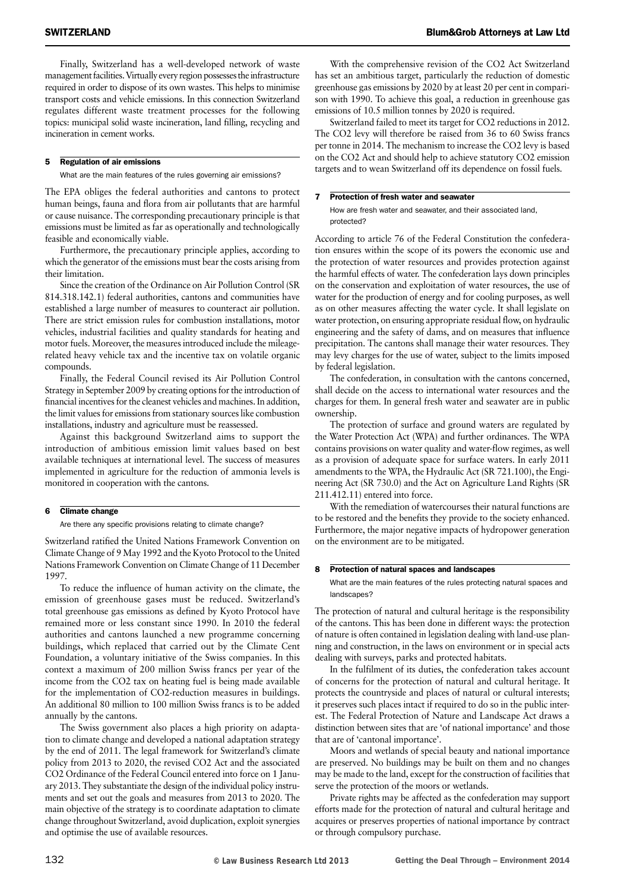Finally, Switzerland has a well-developed network of waste management facilities. Virtually every region possesses the infrastructure required in order to dispose of its own wastes. This helps to minimise transport costs and vehicle emissions. In this connection Switzerland regulates different waste treatment processes for the following topics: municipal solid waste incineration, land filling, recycling and incineration in cement works.

#### 5 Regulation of air emissions

What are the main features of the rules governing air emissions?

The EPA obliges the federal authorities and cantons to protect human beings, fauna and flora from air pollutants that are harmful or cause nuisance. The corresponding precautionary principle is that emissions must be limited as far as operationally and technologically feasible and economically viable.

Furthermore, the precautionary principle applies, according to which the generator of the emissions must bear the costs arising from their limitation.

Since the creation of the Ordinance on Air Pollution Control (SR 814.318.142.1) federal authorities, cantons and communities have established a large number of measures to counteract air pollution. There are strict emission rules for combustion installations, motor vehicles, industrial facilities and quality standards for heating and motor fuels. Moreover, the measures introduced include the mileagerelated heavy vehicle tax and the incentive tax on volatile organic compounds.

Finally, the Federal Council revised its Air Pollution Control Strategy in September 2009 by creating options for the introduction of financial incentives for the cleanest vehicles and machines. In addition, the limit values for emissions from stationary sources like combustion installations, industry and agriculture must be reassessed.

Against this background Switzerland aims to support the introduction of ambitious emission limit values based on best available techniques at international level. The success of measures implemented in agriculture for the reduction of ammonia levels is monitored in cooperation with the cantons.

#### 6 Climate change

Are there any specific provisions relating to climate change?

Switzerland ratified the United Nations Framework Convention on Climate Change of 9 May 1992 and the Kyoto Protocol to the United Nations Framework Convention on Climate Change of 11 December 1997.

To reduce the influence of human activity on the climate, the emission of greenhouse gases must be reduced. Switzerland's total greenhouse gas emissions as defined by Kyoto Protocol have remained more or less constant since 1990. In 2010 the federal authorities and cantons launched a new programme concerning buildings, which replaced that carried out by the Climate Cent Foundation, a voluntary initiative of the Swiss companies. In this context a maximum of 200 million Swiss francs per year of the income from the CO2 tax on heating fuel is being made available for the implementation of CO2-reduction measures in buildings. An additional 80 million to 100 million Swiss francs is to be added annually by the cantons.

The Swiss government also places a high priority on adaptation to climate change and developed a national adaptation strategy by the end of 2011. The legal framework for Switzerland's climate policy from 2013 to 2020, the revised CO2 Act and the associated CO2 Ordinance of the Federal Council entered into force on 1 January 2013. They substantiate the design of the individual policy instruments and set out the goals and measures from 2013 to 2020. The main objective of the strategy is to coordinate adaptation to climate change throughout Switzerland, avoid duplication, exploit synergies and optimise the use of available resources.

With the comprehensive revision of the CO2 Act Switzerland has set an ambitious target, particularly the reduction of domestic greenhouse gas emissions by 2020 by at least 20 per cent in comparison with 1990. To achieve this goal, a reduction in greenhouse gas emissions of 10.5 million tonnes by 2020 is required.

Switzerland failed to meet its target for CO2 reductions in 2012. The CO2 levy will therefore be raised from 36 to 60 Swiss francs per tonne in 2014. The mechanism to increase the CO2 levy is based on the CO2 Act and should help to achieve statutory CO2 emission targets and to wean Switzerland off its dependence on fossil fuels.

#### 7 Protection of fresh water and seawater

How are fresh water and seawater, and their associated land, protected?

According to article 76 of the Federal Constitution the confederation ensures within the scope of its powers the economic use and the protection of water resources and provides protection against the harmful effects of water. The confederation lays down principles on the conservation and exploitation of water resources, the use of water for the production of energy and for cooling purposes, as well as on other measures affecting the water cycle. It shall legislate on water protection, on ensuring appropriate residual flow, on hydraulic engineering and the safety of dams, and on measures that influence precipitation. The cantons shall manage their water resources. They may levy charges for the use of water, subject to the limits imposed by federal legislation.

The confederation, in consultation with the cantons concerned, shall decide on the access to international water resources and the charges for them. In general fresh water and seawater are in public ownership.

The protection of surface and ground waters are regulated by the Water Protection Act (WPA) and further ordinances. The WPA contains provisions on water quality and water-flow regimes, as well as a provision of adequate space for surface waters. In early 2011 amendments to the WPA, the Hydraulic Act (SR 721.100), the Engineering Act (SR 730.0) and the Act on Agriculture Land Rights (SR 211.412.11) entered into force.

With the remediation of watercourses their natural functions are to be restored and the benefits they provide to the society enhanced. Furthermore, the major negative impacts of hydropower generation on the environment are to be mitigated.

#### 8 Protection of natural spaces and landscapes

What are the main features of the rules protecting natural spaces and landscapes?

The protection of natural and cultural heritage is the responsibility of the cantons. This has been done in different ways: the protection of nature is often contained in legislation dealing with land-use planning and construction, in the laws on environment or in special acts dealing with surveys, parks and protected habitats.

In the fulfilment of its duties, the confederation takes account of concerns for the protection of natural and cultural heritage. It protects the countryside and places of natural or cultural interests; it preserves such places intact if required to do so in the public interest. The Federal Protection of Nature and Landscape Act draws a distinction between sites that are 'of national importance' and those that are of 'cantonal importance'.

Moors and wetlands of special beauty and national importance are preserved. No buildings may be built on them and no changes may be made to the land, except for the construction of facilities that serve the protection of the moors or wetlands.

Private rights may be affected as the confederation may support efforts made for the protection of natural and cultural heritage and acquires or preserves properties of national importance by contract or through compulsory purchase.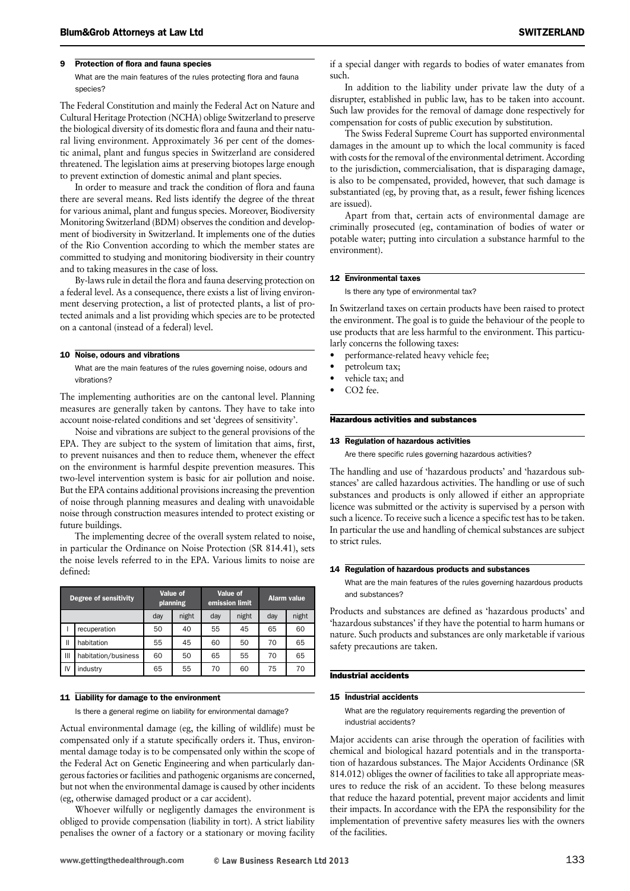#### 9 Protection of flora and fauna species

What are the main features of the rules protecting flora and fauna species?

The Federal Constitution and mainly the Federal Act on Nature and Cultural Heritage Protection (NCHA) oblige Switzerland to preserve the biological diversity of its domestic flora and fauna and their natural living environment. Approximately 36 per cent of the domestic animal, plant and fungus species in Switzerland are considered threatened. The legislation aims at preserving biotopes large enough to prevent extinction of domestic animal and plant species.

In order to measure and track the condition of flora and fauna there are several means. Red lists identify the degree of the threat for various animal, plant and fungus species. Moreover, Biodiversity Monitoring Switzerland (BDM) observes the condition and development of biodiversity in Switzerland. It implements one of the duties of the Rio Convention according to which the member states are committed to studying and monitoring biodiversity in their country and to taking measures in the case of loss.

By-laws rule in detail the flora and fauna deserving protection on a federal level. As a consequence, there exists a list of living environment deserving protection, a list of protected plants, a list of protected animals and a list providing which species are to be protected on a cantonal (instead of a federal) level.

#### 10 Noise, odours and vibrations

What are the main features of the rules governing noise, odours and vibrations?

The implementing authorities are on the cantonal level. Planning measures are generally taken by cantons. They have to take into account noise-related conditions and set 'degrees of sensitivity'.

Noise and vibrations are subject to the general provisions of the EPA. They are subject to the system of limitation that aims, first, to prevent nuisances and then to reduce them, whenever the effect on the environment is harmful despite prevention measures. This two-level intervention system is basic for air pollution and noise. But the EPA contains additional provisionsincreasing the prevention of noise through planning measures and dealing with unavoidable noise through construction measures intended to protect existing or future buildings.

The implementing decree of the overall system related to noise, in particular the Ordinance on Noise Protection (SR 814.41), sets the noise levels referred to in the EPA. Various limits to noise are defined:

| <b>Degree of sensitivity</b> |                     | Value of<br>planning |       | Value of<br>emission limit |       | <b>Alarm value</b> |       |
|------------------------------|---------------------|----------------------|-------|----------------------------|-------|--------------------|-------|
|                              |                     | day                  | night | day                        | night | day                | night |
|                              | recuperation        | 50                   | 40    | 55                         | 45    | 65                 | 60    |
| Ш                            | habitation          | 55                   | 45    | 60                         | 50    | 70                 | 65    |
| Ш                            | habitation/business | 60                   | 50    | 65                         | 55    | 70                 | 65    |
| IV                           | industry            | 65                   | 55    | 70                         | 60    | 75                 | 70    |

#### 11 Liability for damage to the environment

Is there a general regime on liability for environmental damage?

Actual environmental damage (eg, the killing of wildlife) must be compensated only if a statute specifically orders it. Thus, environmental damage today is to be compensated only within the scope of the Federal Act on Genetic Engineering and when particularly dangerous factories or facilities and pathogenic organisms are concerned, but not when the environmental damage is caused by other incidents (eg, otherwise damaged product or a car accident).

Whoever wilfully or negligently damages the environment is obliged to provide compensation (liability in tort). A strict liability penalises the owner of a factory or a stationary or moving facility if a special danger with regards to bodies of water emanates from such.

In addition to the liability under private law the duty of a disrupter, established in public law, has to be taken into account. Such law provides for the removal of damage done respectively for compensation for costs of public execution by substitution.

The Swiss Federal Supreme Court has supported environmental damages in the amount up to which the local community is faced with costs for the removal of the environmental detriment. According to the jurisdiction, commercialisation, that is disparaging damage, is also to be compensated, provided, however, that such damage is substantiated (eg, by proving that, as a result, fewer fishing licences are issued).

Apart from that, certain acts of environmental damage are criminally prosecuted (eg, contamination of bodies of water or potable water; putting into circulation a substance harmful to the environment).

#### 12 Environmental taxes

Is there any type of environmental tax?

In Switzerland taxes on certain products have been raised to protect the environment. The goal is to guide the behaviour of the people to use products that are less harmful to the environment. This particularly concerns the following taxes:

- performance-related heavy vehicle fee;
- petroleum tax:
- vehicle tax; and
- CO<sub>2</sub> fee.

#### Hazardous activities and substances

#### 13 Regulation of hazardous activities

Are there specific rules governing hazardous activities?

The handling and use of 'hazardous products' and 'hazardous substances' are called hazardous activities. The handling or use of such substances and products is only allowed if either an appropriate licence was submitted or the activity is supervised by a person with such a licence. To receive such a licence a specific test has to be taken. In particular the use and handling of chemical substances are subject to strict rules.

#### 14 Regulation of hazardous products and substances

What are the main features of the rules governing hazardous products and substances?

Products and substances are defined as 'hazardous products' and 'hazardous substances' if they have the potential to harm humans or nature. Such products and substances are only marketable if various safety precautions are taken.

#### Industrial accidents

#### 15 Industrial accidents

What are the regulatory requirements regarding the prevention of industrial accidents?

Major accidents can arise through the operation of facilities with chemical and biological hazard potentials and in the transportation of hazardous substances. The Major Accidents Ordinance (SR 814.012) obliges the owner of facilities to take all appropriate measures to reduce the risk of an accident. To these belong measures that reduce the hazard potential, prevent major accidents and limit their impacts. In accordance with the EPA the responsibility for the implementation of preventive safety measures lies with the owners of the facilities.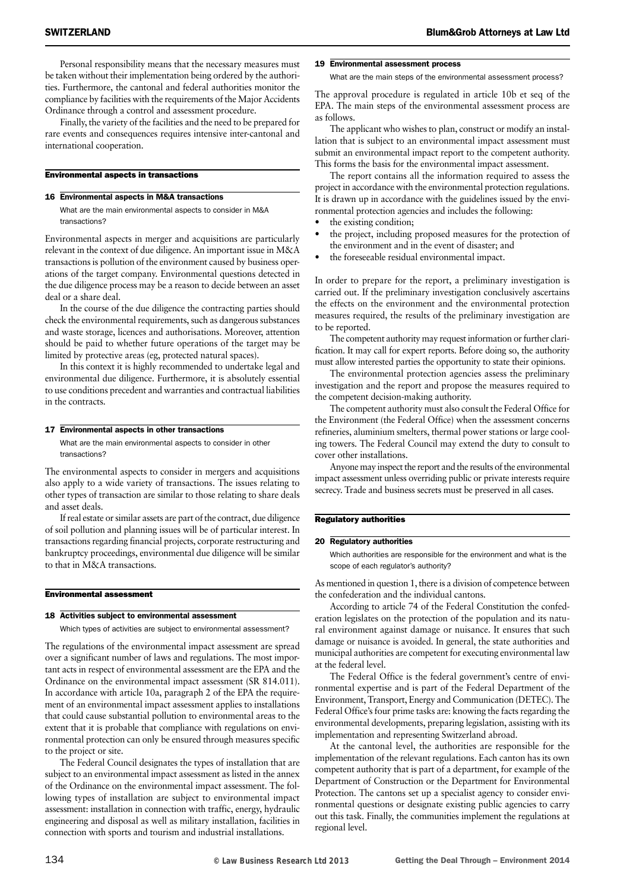Personal responsibility means that the necessary measures must be taken without their implementation being ordered by the authorities. Furthermore, the cantonal and federal authorities monitor the compliance by facilities with the requirements of the Major Accidents Ordinance through a control and assessment procedure.

Finally, the variety of the facilities and the need to be prepared for rare events and consequences requires intensive inter-cantonal and international cooperation.

#### Environmental aspects in transactions

#### 16 Environmental aspects in M&A transactions

What are the main environmental aspects to consider in M&A transactions?

Environmental aspects in merger and acquisitions are particularly relevant in the context of due diligence. An important issue in M&A transactions is pollution of the environment caused by business operations of the target company. Environmental questions detected in the due diligence process may be a reason to decide between an asset deal or a share deal.

In the course of the due diligence the contracting parties should check the environmental requirements, such as dangerous substances and waste storage, licences and authorisations. Moreover, attention should be paid to whether future operations of the target may be limited by protective areas (eg, protected natural spaces).

In this context it is highly recommended to undertake legal and environmental due diligence. Furthermore, it is absolutely essential to use conditions precedent and warranties and contractual liabilities in the contracts.

#### 17 Environmental aspects in other transactions

What are the main environmental aspects to consider in other transactions?

The environmental aspects to consider in mergers and acquisitions also apply to a wide variety of transactions. The issues relating to other types of transaction are similar to those relating to share deals and asset deals.

If real estate or similar assets are part of the contract, due diligence of soil pollution and planning issues will be of particular interest. In transactions regarding financial projects, corporate restructuring and bankruptcy proceedings, environmental due diligence will be similar to that in M&A transactions.

#### Environmental assessment

#### 18 Activities subject to environmental assessment

Which types of activities are subject to environmental assessment?

The regulations of the environmental impact assessment are spread over a significant number of laws and regulations. The most important acts in respect of environmental assessment are the EPA and the Ordinance on the environmental impact assessment (SR 814.011). In accordance with article 10a, paragraph 2 of the EPA the requirement of an environmental impact assessment applies to installations that could cause substantial pollution to environmental areas to the extent that it is probable that compliance with regulations on environmental protection can only be ensured through measures specific to the project or site.

The Federal Council designates the types of installation that are subject to an environmental impact assessment as listed in the annex of the Ordinance on the environmental impact assessment. The following types of installation are subject to environmental impact assessment: installation in connection with traffic, energy, hydraulic engineering and disposal as well as military installation, facilities in connection with sports and tourism and industrial installations.

#### 19 Environmental assessment process

What are the main steps of the environmental assessment process?

The approval procedure is regulated in article 10b et seq of the EPA. The main steps of the environmental assessment process are as follows.

The applicant who wishes to plan, construct or modify an installation that is subject to an environmental impact assessment must submit an environmental impact report to the competent authority. This forms the basis for the environmental impact assessment.

The report contains all the information required to assess the project in accordance with the environmental protection regulations. It is drawn up in accordance with the guidelines issued by the environmental protection agencies and includes the following:

- the existing condition;
- the project, including proposed measures for the protection of the environment and in the event of disaster; and
- the foreseeable residual environmental impact.

In order to prepare for the report, a preliminary investigation is carried out. If the preliminary investigation conclusively ascertains the effects on the environment and the environmental protection measures required, the results of the preliminary investigation are to be reported.

The competent authority may request information or further clarification. It may call for expert reports. Before doing so, the authority must allow interested parties the opportunity to state their opinions.

The environmental protection agencies assess the preliminary investigation and the report and propose the measures required to the competent decision-making authority.

The competent authority must also consult the Federal Office for the Environment (the Federal Office) when the assessment concerns refineries, aluminium smelters, thermal power stations or large cooling towers. The Federal Council may extend the duty to consult to cover other installations.

Anyone may inspect the report and the results of the environmental impact assessment unless overriding public or private interests require secrecy. Trade and business secrets must be preserved in all cases.

#### Regulatory authorities

#### 20 Regulatory authorities

Which authorities are responsible for the environment and what is the scope of each regulator's authority?

As mentioned in question 1, there is a division of competence between the confederation and the individual cantons.

According to article 74 of the Federal Constitution the confederation legislates on the protection of the population and its natural environment against damage or nuisance. It ensures that such damage or nuisance is avoided. In general, the state authorities and municipal authorities are competent for executing environmental law at the federal level.

The Federal Office is the federal government's centre of environmental expertise and is part of the Federal Department of the Environment, Transport, Energy and Communication (DETEC). The Federal Office's four prime tasks are: knowing the facts regarding the environmental developments, preparing legislation, assisting with its implementation and representing Switzerland abroad.

At the cantonal level, the authorities are responsible for the implementation of the relevant regulations. Each canton has its own competent authority that is part of a department, for example of the Department of Construction or the Department for Environmental Protection. The cantons set up a specialist agency to consider environmental questions or designate existing public agencies to carry out this task. Finally, the communities implement the regulations at regional level.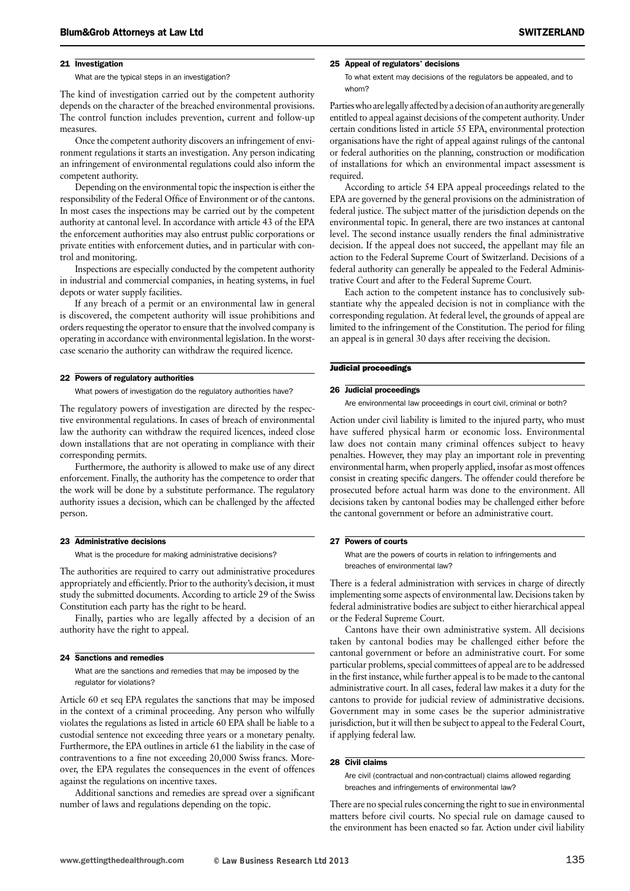#### 21 Investigation

What are the typical steps in an investigation?

The kind of investigation carried out by the competent authority depends on the character of the breached environmental provisions. The control function includes prevention, current and follow-up measures.

Once the competent authority discovers an infringement of environment regulations it starts an investigation. Any person indicating an infringement of environmental regulations could also inform the competent authority.

Depending on the environmental topic the inspection is either the responsibility of the Federal Office of Environment or of the cantons. In most cases the inspections may be carried out by the competent authority at cantonal level. In accordance with article 43 of the EPA the enforcement authorities may also entrust public corporations or private entities with enforcement duties, and in particular with control and monitoring.

Inspections are especially conducted by the competent authority in industrial and commercial companies, in heating systems, in fuel depots or water supply facilities.

If any breach of a permit or an environmental law in general is discovered, the competent authority will issue prohibitions and orders requesting the operator to ensure that the involved company is operating in accordance with environmental legislation. In the worstcase scenario the authority can withdraw the required licence.

#### 22 Powers of regulatory authorities

What powers of investigation do the regulatory authorities have?

The regulatory powers of investigation are directed by the respective environmental regulations. In cases of breach of environmental law the authority can withdraw the required licences, indeed close down installations that are not operating in compliance with their corresponding permits.

Furthermore, the authority is allowed to make use of any direct enforcement. Finally, the authority has the competence to order that the work will be done by a substitute performance. The regulatory authority issues a decision, which can be challenged by the affected person.

#### 23 Administrative decisions

What is the procedure for making administrative decisions?

The authorities are required to carry out administrative procedures appropriately and efficiently. Prior to the authority's decision, it must study the submitted documents. According to article 29 of the Swiss Constitution each party has the right to be heard.

Finally, parties who are legally affected by a decision of an authority have the right to appeal.

#### 24 Sanctions and remedies

What are the sanctions and remedies that may be imposed by the regulator for violations?

Article 60 et seq EPA regulates the sanctions that may be imposed in the context of a criminal proceeding. Any person who wilfully violates the regulations as listed in article 60 EPA shall be liable to a custodial sentence not exceeding three years or a monetary penalty. Furthermore, the EPA outlines in article 61 the liability in the case of contraventions to a fine not exceeding 20,000 Swiss francs. Moreover, the EPA regulates the consequences in the event of offences against the regulations on incentive taxes.

Additional sanctions and remedies are spread over a significant number of laws and regulations depending on the topic.

#### 25 Appeal of regulators' decisions

To what extent may decisions of the regulators be appealed, and to whom?

Parties who are legally affected by a decision of an authority are generally entitled to appeal against decisions of the competent authority. Under certain conditions listed in article 55 EPA, environmental protection organisations have the right of appeal against rulings of the cantonal or federal authorities on the planning, construction or modification of installations for which an environmental impact assessment is required.

According to article 54 EPA appeal proceedings related to the EPA are governed by the general provisions on the administration of federal justice. The subject matter of the jurisdiction depends on the environmental topic. In general, there are two instances at cantonal level. The second instance usually renders the final administrative decision. If the appeal does not succeed, the appellant may file an action to the Federal Supreme Court of Switzerland. Decisions of a federal authority can generally be appealed to the Federal Administrative Court and after to the Federal Supreme Court.

Each action to the competent instance has to conclusively substantiate why the appealed decision is not in compliance with the corresponding regulation. At federal level, the grounds of appeal are limited to the infringement of the Constitution. The period for filing an appeal is in general 30 days after receiving the decision.

#### Judicial proceedings

#### 26 Judicial proceedings

Are environmental law proceedings in court civil, criminal or both?

Action under civil liability is limited to the injured party, who must have suffered physical harm or economic loss. Environmental law does not contain many criminal offences subject to heavy penalties. However, they may play an important role in preventing environmental harm, when properly applied, insofar as most offences consist in creating specific dangers. The offender could therefore be prosecuted before actual harm was done to the environment. All decisions taken by cantonal bodies may be challenged either before the cantonal government or before an administrative court.

#### 27 Powers of courts

What are the powers of courts in relation to infringements and breaches of environmental law?

There is a federal administration with services in charge of directly implementing some aspects of environmental law. Decisionstaken by federal administrative bodies are subject to either hierarchical appeal or the Federal Supreme Court.

Cantons have their own administrative system. All decisions taken by cantonal bodies may be challenged either before the cantonal government or before an administrative court. For some particular problems, special committees of appeal are to be addressed in the first instance, while further appeal isto be made to the cantonal administrative court. In all cases, federal law makes it a duty for the cantons to provide for judicial review of administrative decisions. Government may in some cases be the superior administrative jurisdiction, but it will then be subject to appeal to the Federal Court, if applying federal law.

#### 28 Civil claims

Are civil (contractual and non-contractual) claims allowed regarding breaches and infringements of environmental law?

There are no special rules concerning the right to sue in environmental matters before civil courts. No special rule on damage caused to the environment has been enacted so far. Action under civil liability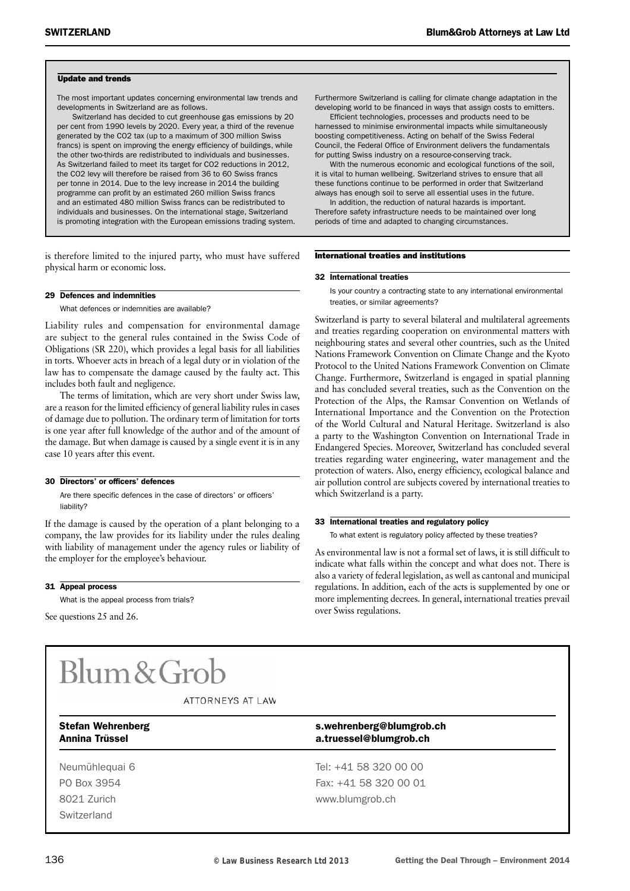#### Update and trends

The most important updates concerning environmental law trends and developments in Switzerland are as follows.

Switzerland has decided to cut greenhouse gas emissions by 20 per cent from 1990 levels by 2020. Every year, a third of the revenue generated by the CO2 tax (up to a maximum of 300 million Swiss francs) is spent on improving the energy efficiency of buildings, while the other two-thirds are redistributed to individuals and businesses. As Switzerland failed to meet its target for CO2 reductions in 2012, the CO2 levy will therefore be raised from 36 to 60 Swiss francs per tonne in 2014. Due to the levy increase in 2014 the building programme can profit by an estimated 260 million Swiss francs and an estimated 480 million Swiss francs can be redistributed to individuals and businesses. On the international stage, Switzerland is promoting integration with the European emissions trading system.

is therefore limited to the injured party, who must have suffered physical harm or economic loss.

#### 29 Defences and indemnities

What defences or indemnities are available?

Liability rules and compensation for environmental damage are subject to the general rules contained in the Swiss Code of Obligations (SR 220), which provides a legal basis for all liabilities in torts. Whoever acts in breach of a legal duty or in violation of the law has to compensate the damage caused by the faulty act. This includes both fault and negligence.

The terms of limitation, which are very short under Swiss law, are a reason for the limited efficiency of general liability rules in cases of damage due to pollution. The ordinary term of limitation for torts is one year after full knowledge of the author and of the amount of the damage. But when damage is caused by a single event it is in any case 10 years after this event.

#### 30 Directors' or officers' defences

Are there specific defences in the case of directors' or officers' liability?

If the damage is caused by the operation of a plant belonging to a company, the law provides for its liability under the rules dealing with liability of management under the agency rules or liability of the employer for the employee's behaviour.

31 Appeal process

What is the appeal process from trials?

See questions 25 and 26.

#### Furthermore Switzerland is calling for climate change adaptation in the developing world to be financed in ways that assign costs to emitters.

Efficient technologies, processes and products need to be harnessed to minimise environmental impacts while simultaneously boosting competitiveness. Acting on behalf of the Swiss Federal Council, the Federal Office of Environment delivers the fundamentals for putting Swiss industry on a resource-conserving track.

With the numerous economic and ecological functions of the soil, it is vital to human wellbeing. Switzerland strives to ensure that all these functions continue to be performed in order that Switzerland always has enough soil to serve all essential uses in the future.

In addition, the reduction of natural hazards is important. Therefore safety infrastructure needs to be maintained over long periods of time and adapted to changing circumstances.

#### International treaties and institutions

#### 32 International treaties

Is your country a contracting state to any international environmental treaties, or similar agreements?

Switzerland is party to several bilateral and multilateral agreements and treaties regarding cooperation on environmental matters with neighbouring states and several other countries, such as the United Nations Framework Convention on Climate Change and the Kyoto Protocol to the United Nations Framework Convention on Climate Change. Furthermore, Switzerland is engaged in spatial planning and has concluded several treaties, such as the Convention on the Protection of the Alps, the Ramsar Convention on Wetlands of International Importance and the Convention on the Protection of the World Cultural and Natural Heritage. Switzerland is also a party to the Washington Convention on International Trade in Endangered Species. Moreover, Switzerland has concluded several treaties regarding water engineering, water management and the protection of waters. Also, energy efficiency, ecological balance and air pollution control are subjects covered by international treaties to which Switzerland is a party.

#### 33 International treaties and regulatory policy

To what extent is regulatory policy affected by these treaties?

As environmental law is not a formal set of laws, it is still difficult to indicate what falls within the concept and what does not. There is also a variety of federal legislation, as well as cantonal and municipal regulations. In addition, each of the acts is supplemented by one or more implementing decrees. In general, international treaties prevail over Swiss regulations.

### Blum & Grob

#### ATTORNEYS AT LAW

Stefan Wehrenberg stefan Wehrenberg s.wehrenberg@blumgrob.ch

Switzerland

Annina Trüssel a.truessel@blumgrob.ch

Neumühlequai 6 **Tel: +41 58 320 00 00** PO Box 3954 Fax: +41 58 320 00 01 8021 Zurich www.blumgrob.ch